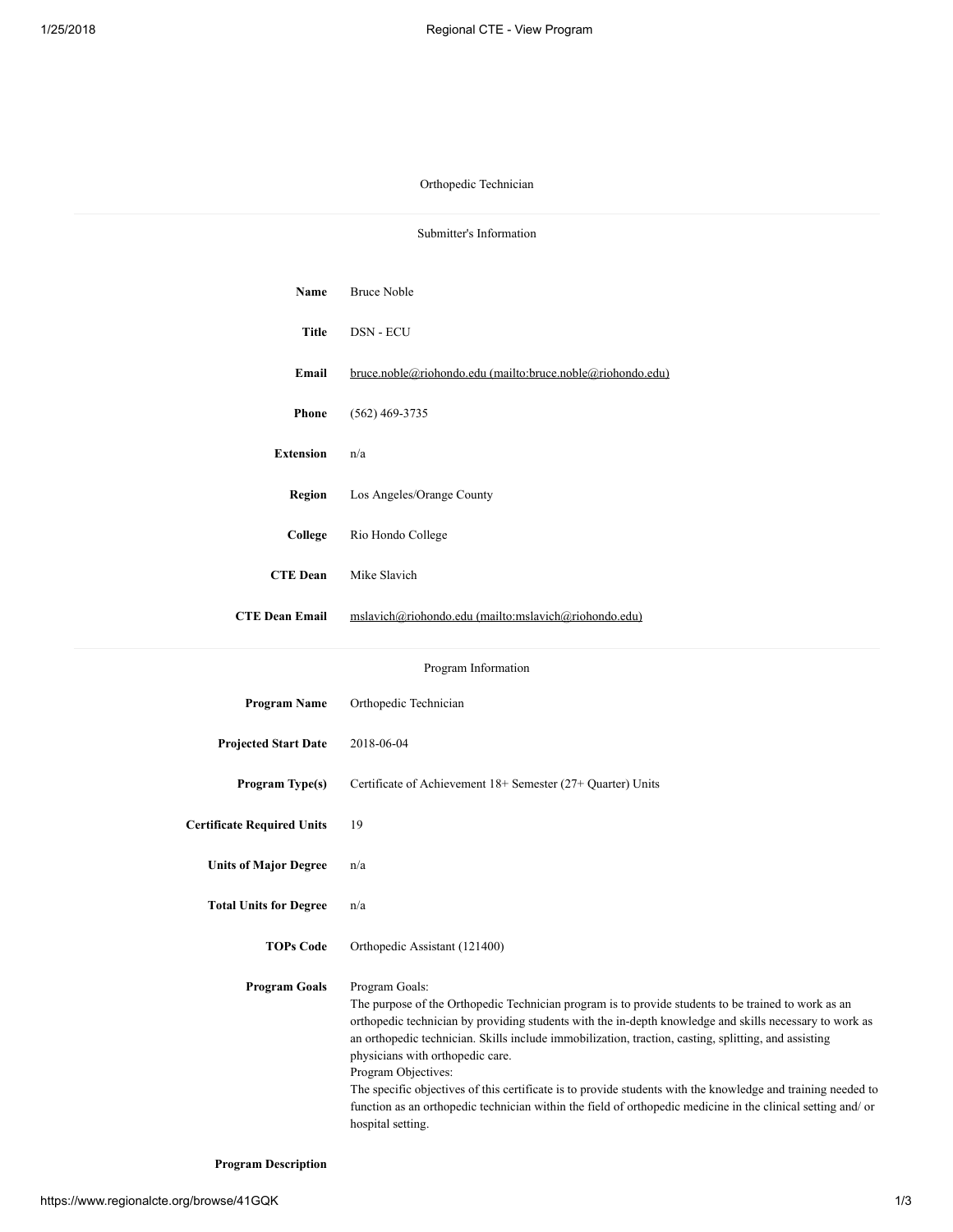Orthopedic Technician

| Submitter's Information           |                                                                                                                                                                                                                                                                                                                                                                                                                                                                                                                                                                                                                                                          |  |
|-----------------------------------|----------------------------------------------------------------------------------------------------------------------------------------------------------------------------------------------------------------------------------------------------------------------------------------------------------------------------------------------------------------------------------------------------------------------------------------------------------------------------------------------------------------------------------------------------------------------------------------------------------------------------------------------------------|--|
| Name                              | <b>Bruce Noble</b>                                                                                                                                                                                                                                                                                                                                                                                                                                                                                                                                                                                                                                       |  |
| <b>Title</b>                      | DSN - ECU                                                                                                                                                                                                                                                                                                                                                                                                                                                                                                                                                                                                                                                |  |
| Email                             | <u>bruce.noble@riohondo.edu (mailto:bruce.noble@riohondo.edu)</u>                                                                                                                                                                                                                                                                                                                                                                                                                                                                                                                                                                                        |  |
| <b>Phone</b>                      | $(562)$ 469-3735                                                                                                                                                                                                                                                                                                                                                                                                                                                                                                                                                                                                                                         |  |
| <b>Extension</b>                  | n/a                                                                                                                                                                                                                                                                                                                                                                                                                                                                                                                                                                                                                                                      |  |
| Region                            | Los Angeles/Orange County                                                                                                                                                                                                                                                                                                                                                                                                                                                                                                                                                                                                                                |  |
| College                           | Rio Hondo College                                                                                                                                                                                                                                                                                                                                                                                                                                                                                                                                                                                                                                        |  |
| <b>CTE Dean</b>                   | Mike Slavich                                                                                                                                                                                                                                                                                                                                                                                                                                                                                                                                                                                                                                             |  |
| <b>CTE Dean Email</b>             | mslavich@riohondo.edu (mailto:mslavich@riohondo.edu)                                                                                                                                                                                                                                                                                                                                                                                                                                                                                                                                                                                                     |  |
| Program Information               |                                                                                                                                                                                                                                                                                                                                                                                                                                                                                                                                                                                                                                                          |  |
| <b>Program Name</b>               | Orthopedic Technician                                                                                                                                                                                                                                                                                                                                                                                                                                                                                                                                                                                                                                    |  |
| <b>Projected Start Date</b>       | 2018-06-04                                                                                                                                                                                                                                                                                                                                                                                                                                                                                                                                                                                                                                               |  |
| Program Type(s)                   | Certificate of Achievement 18+ Semester (27+ Quarter) Units                                                                                                                                                                                                                                                                                                                                                                                                                                                                                                                                                                                              |  |
| <b>Certificate Required Units</b> | 19                                                                                                                                                                                                                                                                                                                                                                                                                                                                                                                                                                                                                                                       |  |
| <b>Units of Major Degree</b>      | n/a                                                                                                                                                                                                                                                                                                                                                                                                                                                                                                                                                                                                                                                      |  |
| <b>Total Units for Degree</b>     | n/a                                                                                                                                                                                                                                                                                                                                                                                                                                                                                                                                                                                                                                                      |  |
| <b>TOPs Code</b>                  | Orthopedic Assistant (121400)                                                                                                                                                                                                                                                                                                                                                                                                                                                                                                                                                                                                                            |  |
| <b>Program Goals</b>              | Program Goals:<br>The purpose of the Orthopedic Technician program is to provide students to be trained to work as an<br>orthopedic technician by providing students with the in-depth knowledge and skills necessary to work as<br>an orthopedic technician. Skills include immobilization, traction, casting, splitting, and assisting<br>physicians with orthopedic care.<br>Program Objectives:<br>The specific objectives of this certificate is to provide students with the knowledge and training needed to<br>function as an orthopedic technician within the field of orthopedic medicine in the clinical setting and/ or<br>hospital setting. |  |

Program Description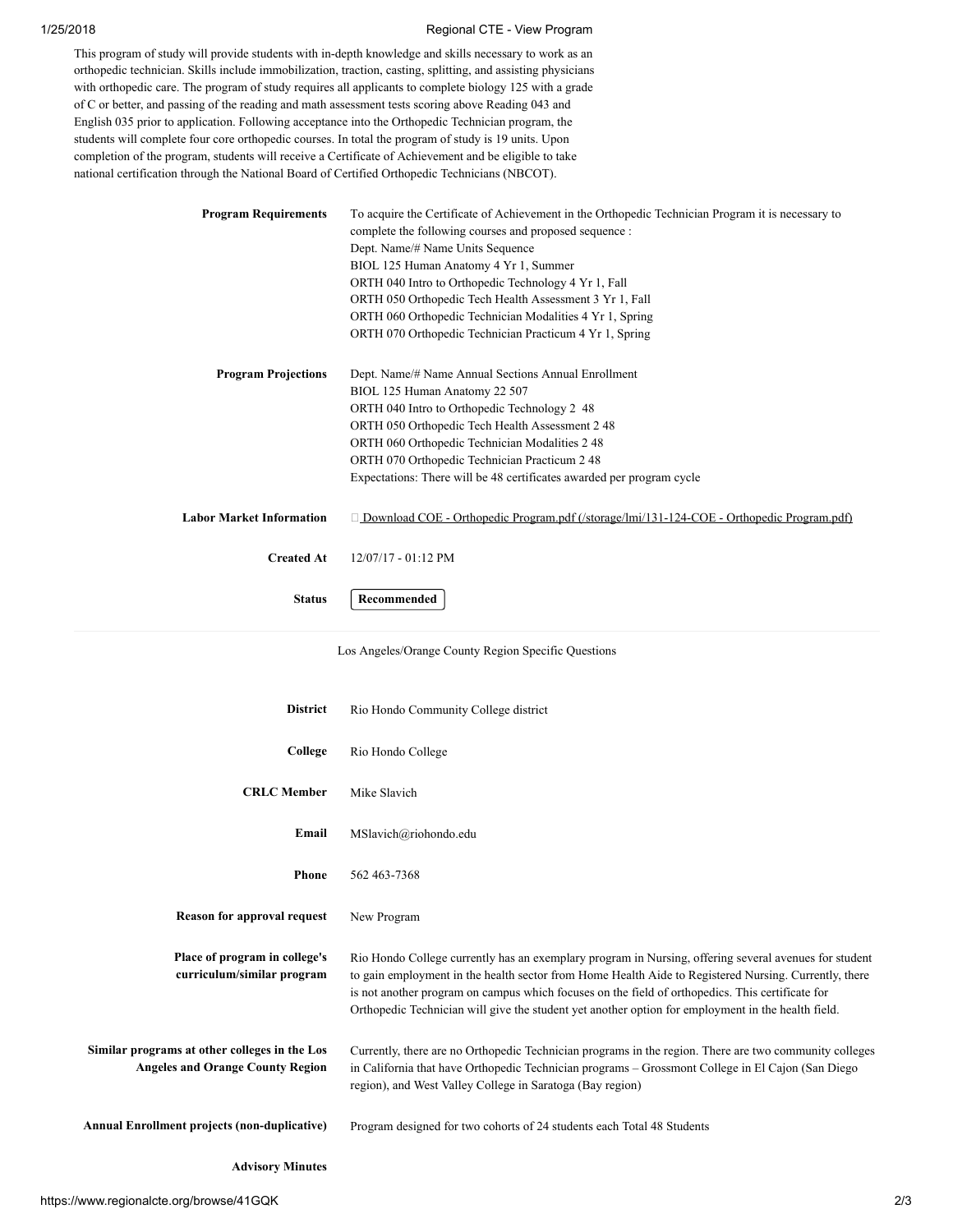## 1/25/2018 Regional CTE - View Program

This program of study will provide students with in-depth knowledge and skills necessary to work as an orthopedic technician. Skills include immobilization, traction, casting, splitting, and assisting physicians with orthopedic care. The program of study requires all applicants to complete biology 125 with a grade of C or better, and passing of the reading and math assessment tests scoring above Reading 043 and English 035 prior to application. Following acceptance into the Orthopedic Technician program, the students will complete four core orthopedic courses. In total the program of study is 19 units. Upon completion of the program, students will receive a Certificate of Achievement and be eligible to take national certification through the National Board of Certified Orthopedic Technicians (NBCOT).

| <b>Program Requirements</b>     | To acquire the Certificate of Achievement in the Orthopedic Technician Program it is necessary to<br>complete the following courses and proposed sequence :<br>Dept. Name/# Name Units Sequence<br>BIOL 125 Human Anatomy 4 Yr 1, Summer<br>ORTH 040 Intro to Orthopedic Technology 4 Yr 1, Fall<br>ORTH 050 Orthopedic Tech Health Assessment 3 Yr 1, Fall<br>ORTH 060 Orthopedic Technician Modalities 4 Yr 1, Spring<br>ORTH 070 Orthopedic Technician Practicum 4 Yr 1, Spring |
|---------------------------------|------------------------------------------------------------------------------------------------------------------------------------------------------------------------------------------------------------------------------------------------------------------------------------------------------------------------------------------------------------------------------------------------------------------------------------------------------------------------------------|
| <b>Program Projections</b>      | Dept. Name/# Name Annual Sections Annual Enrollment<br>BIOL 125 Human Anatomy 22 507<br>ORTH 040 Intro to Orthopedic Technology 2 48<br>ORTH 050 Orthopedic Tech Health Assessment 2 48<br>ORTH 060 Orthopedic Technician Modalities 2 48<br>ORTH 070 Orthopedic Technician Practicum 2 48<br>Expectations: There will be 48 certificates awarded per program cycle                                                                                                                |
| <b>Labor Market Information</b> | $\Box$ Download COE - Orthopedic Program.pdf (/storage/lmi/131-124-COE - Orthopedic Program.pdf)                                                                                                                                                                                                                                                                                                                                                                                   |
| <b>Created At</b>               | 12/07/17 - 01:12 PM                                                                                                                                                                                                                                                                                                                                                                                                                                                                |
| <b>Status</b>                   | Recommended                                                                                                                                                                                                                                                                                                                                                                                                                                                                        |

Los Angeles/Orange County Region Specific Questions

| <b>District</b>                                                                          | Rio Hondo Community College district                                                                                                                                                                                                                                                                                                                                                                                     |
|------------------------------------------------------------------------------------------|--------------------------------------------------------------------------------------------------------------------------------------------------------------------------------------------------------------------------------------------------------------------------------------------------------------------------------------------------------------------------------------------------------------------------|
| College                                                                                  | Rio Hondo College                                                                                                                                                                                                                                                                                                                                                                                                        |
| <b>CRLC</b> Member                                                                       | Mike Slavich                                                                                                                                                                                                                                                                                                                                                                                                             |
| Email                                                                                    | MSlavich@riohondo.edu                                                                                                                                                                                                                                                                                                                                                                                                    |
| <b>Phone</b>                                                                             | 562 463-7368                                                                                                                                                                                                                                                                                                                                                                                                             |
| <b>Reason for approval request</b>                                                       | New Program                                                                                                                                                                                                                                                                                                                                                                                                              |
| Place of program in college's<br>curriculum/similar program                              | Rio Hondo College currently has an exemplary program in Nursing, offering several avenues for student<br>to gain employment in the health sector from Home Health Aide to Registered Nursing. Currently, there<br>is not another program on campus which focuses on the field of orthopedics. This certificate for<br>Orthopedic Technician will give the student yet another option for employment in the health field. |
| Similar programs at other colleges in the Los<br><b>Angeles and Orange County Region</b> | Currently, there are no Orthopedic Technician programs in the region. There are two community colleges<br>in California that have Orthopedic Technician programs - Grossmont College in El Cajon (San Diego<br>region), and West Valley College in Saratoga (Bay region)                                                                                                                                                 |
| <b>Annual Enrollment projects (non-duplicative)</b>                                      | Program designed for two cohorts of 24 students each Total 48 Students                                                                                                                                                                                                                                                                                                                                                   |
| <b>Advisory Minutes</b>                                                                  |                                                                                                                                                                                                                                                                                                                                                                                                                          |